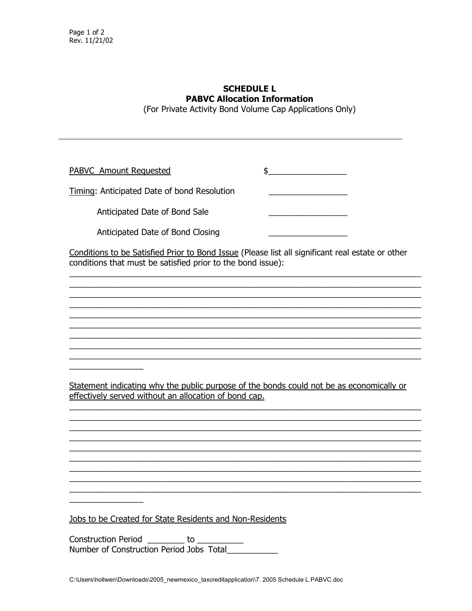## **SCHEDULE L PABVC Allocation Information**

(For Private Activity Bond Volume Cap Applications Only)

PABVC Amount Requested  $\updownarrow$ 

Timing: Anticipated Date of bond Resolution

Anticipated Date of Bond Sale

Anticipated Date of Bond Closing

Conditions to be Satisfied Prior to Bond Issue (Please list all significant real estate or other conditions that must be satisfied prior to the bond issue):

Statement indicating why the public purpose of the bonds could not be as economically or effectively served without an allocation of bond cap.

Jobs to be Created for State Residents and Non-Residents

Construction Period by to Number of Construction Period Jobs Total